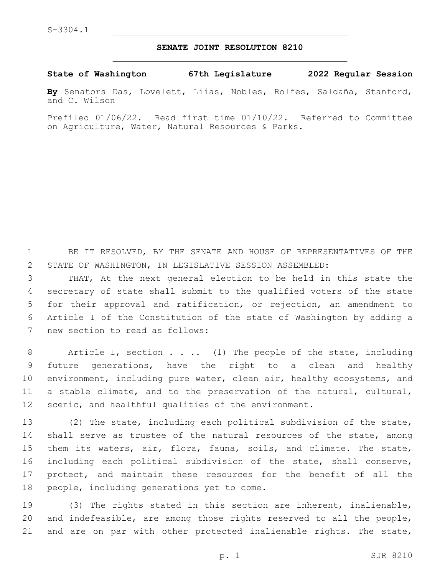## **SENATE JOINT RESOLUTION 8210**

**State of Washington 67th Legislature 2022 Regular Session**

**By** Senators Das, Lovelett, Liias, Nobles, Rolfes, Saldaña, Stanford, and C. Wilson

Prefiled 01/06/22. Read first time 01/10/22. Referred to Committee on Agriculture, Water, Natural Resources & Parks.

1 BE IT RESOLVED, BY THE SENATE AND HOUSE OF REPRESENTATIVES OF THE 2 STATE OF WASHINGTON, IN LEGISLATIVE SESSION ASSEMBLED:

 THAT, At the next general election to be held in this state the secretary of state shall submit to the qualified voters of the state for their approval and ratification, or rejection, an amendment to Article I of the Constitution of the state of Washington by adding a 7 new section to read as follows:

8 Article I, section . . .. (1) The people of the state, including 9 future generations, have the right to a clean and healthy 10 environment, including pure water, clean air, healthy ecosystems, and 11 a stable climate, and to the preservation of the natural, cultural, 12 scenic, and healthful qualities of the environment.

 (2) The state, including each political subdivision of the state, 14 shall serve as trustee of the natural resources of the state, among them its waters, air, flora, fauna, soils, and climate. The state, including each political subdivision of the state, shall conserve, protect, and maintain these resources for the benefit of all the 18 people, including generations yet to come.

19 (3) The rights stated in this section are inherent, inalienable, 20 and indefeasible, are among those rights reserved to all the people, 21 and are on par with other protected inalienable rights. The state,